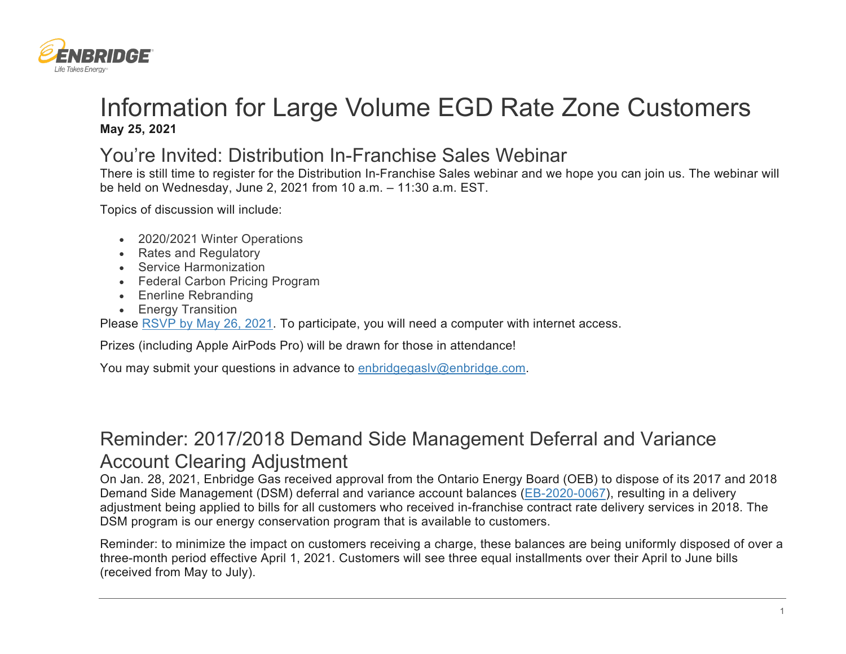

## Information for Large Volume EGD Rate Zone Customers **May 25, 2021**

## You're Invited: Distribution In-Franchise Sales Webinar

There is still time to register for the Distribution In-Franchise Sales webinar and we hope you can join us. The webinar will be held on Wednesday, June 2, 2021 from 10 a.m. – 11:30 a.m. EST.

Topics of discussion will include:

- 2020/2021 Winter Operations
- Rates and Regulatory
- Service Harmonization
- Federal Carbon Pricing Program
- Enerline Rebranding
- Energy Transition

Please [RSVP by May 26, 2021.](https://www.surveymonkey.com/r/KXNFYH6) To participate, you will need a computer with internet access.

Prizes (including Apple AirPods Pro) will be drawn for those in attendance!

You may submit your questions in advance to enbridgegasly@enbridge.com.

## Reminder: 2017/2018 Demand Side Management Deferral and Variance Account Clearing Adjustment

On Jan. 28, 2021, Enbridge Gas received approval from the Ontario Energy Board (OEB) to dispose of its 2017 and 2018 Demand Side Management (DSM) deferral and variance account balances [\(EB-2020-0067\)](https://www.enbridgegas.com/Regulatory-Proceedings), resulting in a delivery adjustment being applied to bills for all customers who received in-franchise contract rate delivery services in 2018. The DSM program is our energy conservation program that is available to customers.

Reminder: to minimize the impact on customers receiving a charge, these balances are being uniformly disposed of over a three-month period effective April 1, 2021. Customers will see three equal installments over their April to June bills (received from May to July).